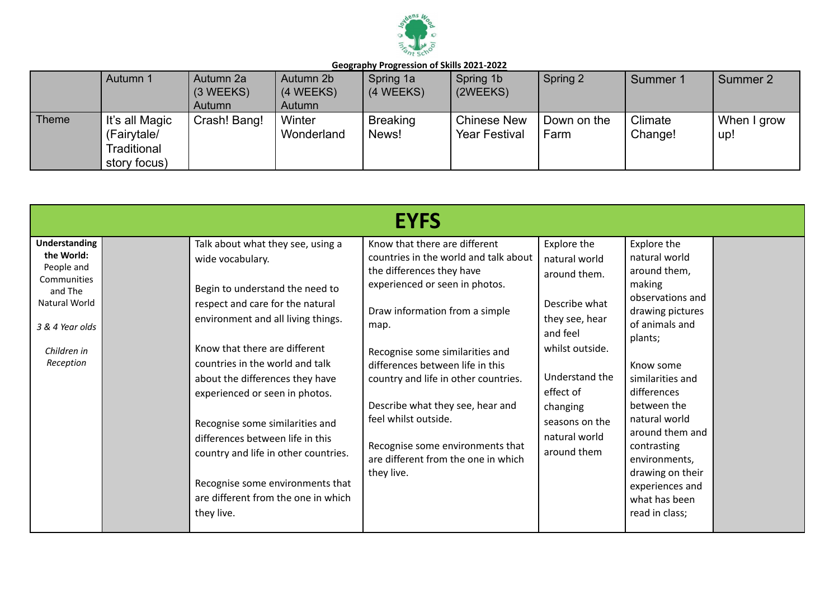

|              | Autumn 1                                                     | Autumn 2a<br>$(3 \, \text{WEEKS})$ | Autumn 2b<br>(4 WEEKS)         | Spring 1a<br>(4 WEEKS)   | Spring 1b<br>(2WEEKS)                      | Spring 2            | Summer 1           | Summer 2           |
|--------------|--------------------------------------------------------------|------------------------------------|--------------------------------|--------------------------|--------------------------------------------|---------------------|--------------------|--------------------|
| <b>Theme</b> | It's all Magic<br>(Fairytale/<br>Traditional<br>story focus) | Autumn<br>Crash! Bang!             | Autumn<br>Winter<br>Wonderland | <b>Breaking</b><br>News! | <b>Chinese New</b><br><b>Year Festival</b> | Down on the<br>Farm | Climate<br>Change! | When I grow<br>up! |

|                                                                                                                                     |                                                                                                                                                                                                                                                                                                                                                                                                                                                                                                                     | <b>EYFS</b>                                                                                                                                                                                                                                                                                                                                                                                                                                         |                                                                                                                                                                                                             |                                                                                                                                                                                                                                                                                                                                          |  |
|-------------------------------------------------------------------------------------------------------------------------------------|---------------------------------------------------------------------------------------------------------------------------------------------------------------------------------------------------------------------------------------------------------------------------------------------------------------------------------------------------------------------------------------------------------------------------------------------------------------------------------------------------------------------|-----------------------------------------------------------------------------------------------------------------------------------------------------------------------------------------------------------------------------------------------------------------------------------------------------------------------------------------------------------------------------------------------------------------------------------------------------|-------------------------------------------------------------------------------------------------------------------------------------------------------------------------------------------------------------|------------------------------------------------------------------------------------------------------------------------------------------------------------------------------------------------------------------------------------------------------------------------------------------------------------------------------------------|--|
| Understanding<br>the World:<br>People and<br>Communities<br>and The<br>Natural World<br>3 & 4 Year olds<br>Children in<br>Reception | Talk about what they see, using a<br>wide vocabulary.<br>Begin to understand the need to<br>respect and care for the natural<br>environment and all living things.<br>Know that there are different<br>countries in the world and talk<br>about the differences they have<br>experienced or seen in photos.<br>Recognise some similarities and<br>differences between life in this<br>country and life in other countries.<br>Recognise some environments that<br>are different from the one in which<br>they live. | Know that there are different<br>countries in the world and talk about<br>the differences they have<br>experienced or seen in photos.<br>Draw information from a simple<br>map.<br>Recognise some similarities and<br>differences between life in this<br>country and life in other countries.<br>Describe what they see, hear and<br>feel whilst outside.<br>Recognise some environments that<br>are different from the one in which<br>they live. | Explore the<br>natural world<br>around them.<br>Describe what<br>they see, hear<br>and feel<br>whilst outside.<br>Understand the<br>effect of<br>changing<br>seasons on the<br>natural world<br>around them | Explore the<br>natural world<br>around them,<br>making<br>observations and<br>drawing pictures<br>of animals and<br>plants;<br>Know some<br>similarities and<br>differences<br>between the<br>natural world<br>around them and<br>contrasting<br>environments,<br>drawing on their<br>experiences and<br>what has been<br>read in class; |  |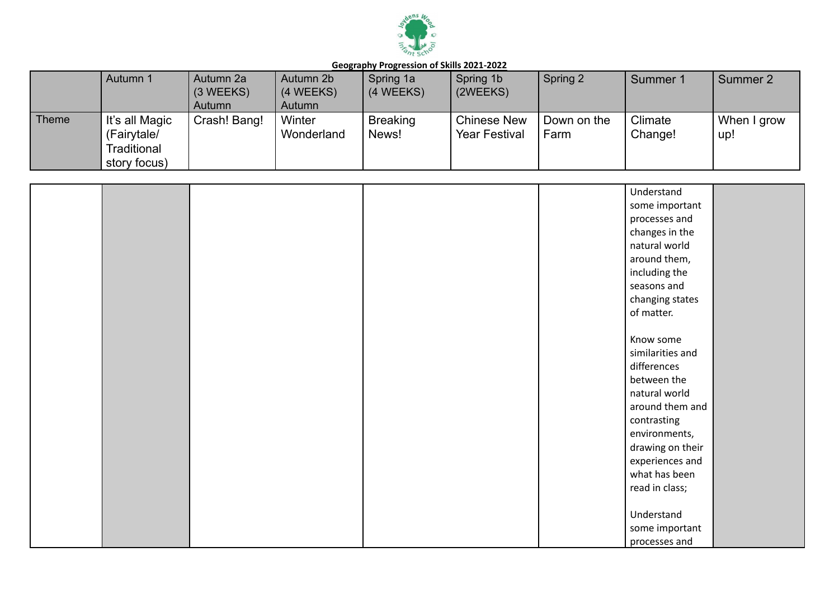

|              | Autumn 1                                                     | Autumn 2a<br>(3 WEEKS)<br>Autumn | Autumn 2b<br>(4 WEEKS)<br>Autumn | Spring 1a<br>(4 WEEKS)   | Spring 1b<br>(2WEEKS)                      | Spring 2            | Summer 1           | Summer 2           |
|--------------|--------------------------------------------------------------|----------------------------------|----------------------------------|--------------------------|--------------------------------------------|---------------------|--------------------|--------------------|
| <b>Theme</b> | It's all Magic<br>(Fairytale/<br>Traditional<br>story focus) | Crash! Bang!                     | Winter<br>Wonderland             | <b>Breaking</b><br>News! | <b>Chinese New</b><br><b>Year Festival</b> | Down on the<br>Farm | Climate<br>Change! | When I grow<br>up! |

|  |  | Understand       |  |
|--|--|------------------|--|
|  |  | some important   |  |
|  |  | processes and    |  |
|  |  | changes in the   |  |
|  |  | natural world    |  |
|  |  | around them,     |  |
|  |  | including the    |  |
|  |  | seasons and      |  |
|  |  | changing states  |  |
|  |  | of matter.       |  |
|  |  |                  |  |
|  |  | Know some        |  |
|  |  | similarities and |  |
|  |  | differences      |  |
|  |  | between the      |  |
|  |  | natural world    |  |
|  |  | around them and  |  |
|  |  | contrasting      |  |
|  |  | environments,    |  |
|  |  | drawing on their |  |
|  |  | experiences and  |  |
|  |  | what has been    |  |
|  |  | read in class;   |  |
|  |  |                  |  |
|  |  | Understand       |  |
|  |  | some important   |  |
|  |  | processes and    |  |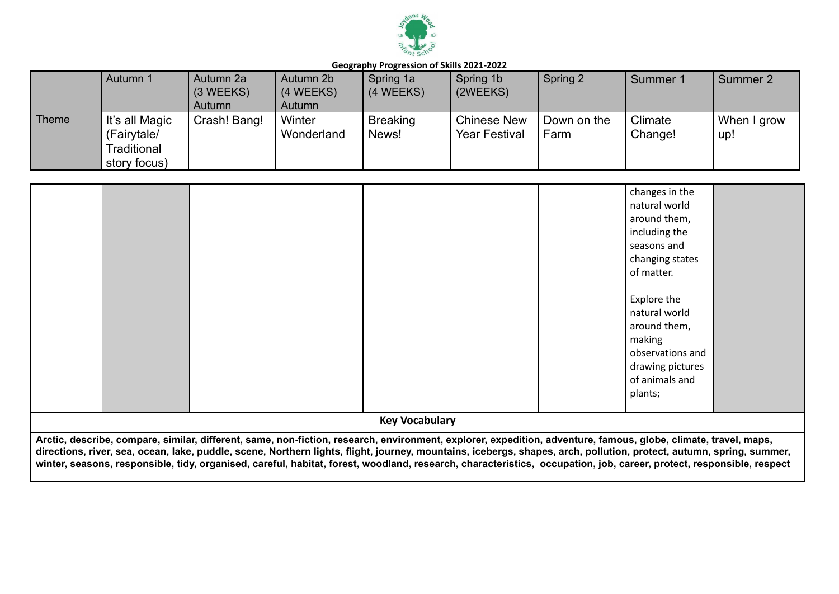

|              | Autumn 1                                                     | Autumn 2a<br>(3 WEEKS)<br>Autumn | Autumn 2b<br>(4 WEEKS)<br>Autumn | Spring 1a<br>(4 WEEKS)   | Spring 1b<br>(2WEEKS)                      | Spring 2            | Summer 1           | Summer 2           |
|--------------|--------------------------------------------------------------|----------------------------------|----------------------------------|--------------------------|--------------------------------------------|---------------------|--------------------|--------------------|
| <b>Theme</b> | It's all Magic<br>(Fairytale/<br>Traditional<br>story focus) | Crash! Bang!                     | Winter<br>Wonderland             | <b>Breaking</b><br>News! | <b>Chinese New</b><br><b>Year Festival</b> | Down on the<br>Farm | Climate<br>Change! | When I grow<br>up! |

|                                                                                                                                                                      |                       |             | changes in the   |
|----------------------------------------------------------------------------------------------------------------------------------------------------------------------|-----------------------|-------------|------------------|
|                                                                                                                                                                      |                       |             | natural world    |
|                                                                                                                                                                      |                       |             | around them,     |
|                                                                                                                                                                      |                       |             | including the    |
|                                                                                                                                                                      |                       |             | seasons and      |
|                                                                                                                                                                      |                       |             | changing states  |
|                                                                                                                                                                      |                       | of matter.  |                  |
|                                                                                                                                                                      |                       |             |                  |
|                                                                                                                                                                      |                       | Explore the |                  |
|                                                                                                                                                                      |                       |             | natural world    |
|                                                                                                                                                                      |                       |             | around them,     |
|                                                                                                                                                                      |                       | making      |                  |
|                                                                                                                                                                      |                       |             | observations and |
|                                                                                                                                                                      |                       |             | drawing pictures |
|                                                                                                                                                                      |                       |             | of animals and   |
|                                                                                                                                                                      |                       | plants;     |                  |
|                                                                                                                                                                      |                       |             |                  |
|                                                                                                                                                                      | <b>Key Vocabulary</b> |             |                  |
| Arctic, describe, compare, similar, different, same, non-fiction, research, environment, explorer, expedition, adventure, famous, globe, climate, travel, maps,      |                       |             |                  |
| directions, river, sea, ocean, lake, puddle, scene, Northern lights, flight, journey, mountains, icebergs, shapes, arch, pollution, protect, autumn, spring, summer, |                       |             |                  |
| winter, seasons, responsible, tidy, organised, careful, habitat, forest, woodland, research, characteristics, occupation, job, career, protect, responsible, respect |                       |             |                  |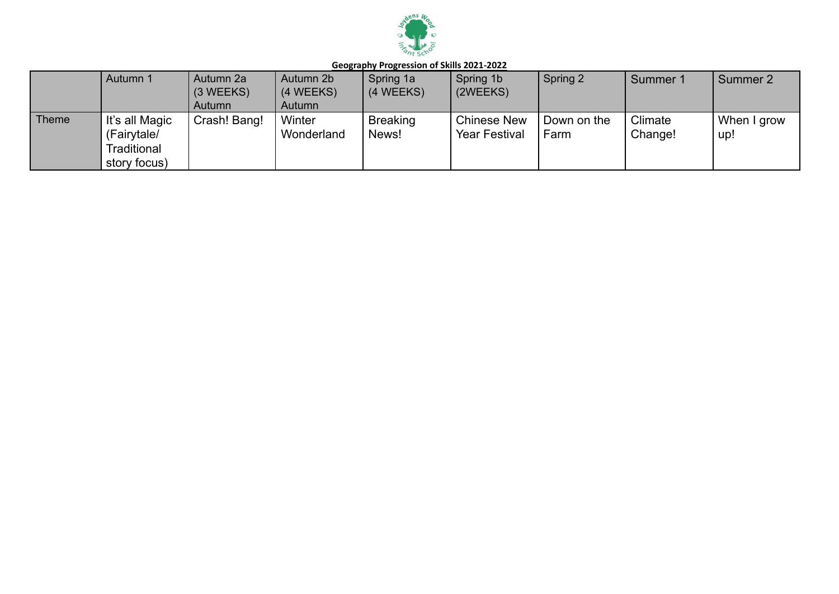

|              | Autumn 1                                                     | Autumn 2a<br>$(3 \, \text{WEEKS})$<br>Autumn | Autumn 2b<br>(4 WEEKS)<br>Autumn | Spring 1a<br>(4 WEEKS)   | Spring 1b<br>(2WEEKS)                      | Spring 2            | Summer 1           | Summer 2           |
|--------------|--------------------------------------------------------------|----------------------------------------------|----------------------------------|--------------------------|--------------------------------------------|---------------------|--------------------|--------------------|
| <b>Theme</b> | It's all Magic<br>(Fairytale/<br>Traditional<br>story focus) | Crash! Bang!                                 | Winter<br>Wonderland             | <b>Breaking</b><br>News! | <b>Chinese New</b><br><b>Year Festival</b> | Down on the<br>Farm | Climate<br>Change! | When I grow<br>up! |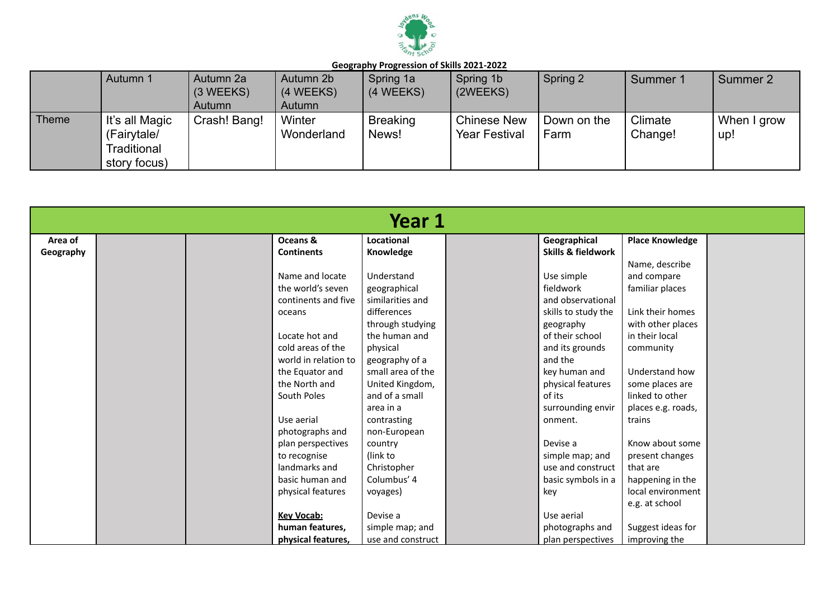

|              | Autumn 1                                                     | Autumn 2a<br>$(3 \, \text{WEEKS})$<br>Autumn | Autumn 2b<br>(4 WEEKS)<br>Autumn | Spring 1a<br>$(4 \, \text{WEEKS})$ | Spring 1b<br>(2WEEKS)                      | Spring 2            | Summer 1           | Summer 2           |
|--------------|--------------------------------------------------------------|----------------------------------------------|----------------------------------|------------------------------------|--------------------------------------------|---------------------|--------------------|--------------------|
| <b>Theme</b> | It's all Magic<br>(Fairytale/<br>Traditional<br>story focus) | Crash! Bang!                                 | Winter<br>Wonderland             | <b>Breaking</b><br>News!           | <b>Chinese New</b><br><b>Year Festival</b> | Down on the<br>Farm | Climate<br>Change! | When I grow<br>up! |

|           |                      | Year 1            |                     |                        |  |
|-----------|----------------------|-------------------|---------------------|------------------------|--|
| Area of   | Oceans &             | Locational        | Geographical        | <b>Place Knowledge</b> |  |
| Geography | <b>Continents</b>    | Knowledge         | Skills & fieldwork  |                        |  |
|           |                      |                   |                     | Name, describe         |  |
|           | Name and locate      | Understand        | Use simple          | and compare            |  |
|           | the world's seven    | geographical      | fieldwork           | familiar places        |  |
|           | continents and five  | similarities and  | and observational   |                        |  |
|           | oceans               | differences       | skills to study the | Link their homes       |  |
|           |                      | through studying  | geography           | with other places      |  |
|           | Locate hot and       | the human and     | of their school     | in their local         |  |
|           | cold areas of the    | physical          | and its grounds     | community              |  |
|           | world in relation to | geography of a    | and the             |                        |  |
|           | the Equator and      | small area of the | key human and       | Understand how         |  |
|           | the North and        | United Kingdom,   | physical features   | some places are        |  |
|           | South Poles          | and of a small    | of its              | linked to other        |  |
|           |                      | area in a         | surrounding envir   | places e.g. roads,     |  |
|           | Use aerial           | contrasting       | onment.             | trains                 |  |
|           | photographs and      | non-European      |                     |                        |  |
|           | plan perspectives    | country           | Devise a            | Know about some        |  |
|           | to recognise         | (link to          | simple map; and     | present changes        |  |
|           | landmarks and        | Christopher       | use and construct   | that are               |  |
|           | basic human and      | Columbus' 4       | basic symbols in a  | happening in the       |  |
|           | physical features    | voyages)          | key                 | local environment      |  |
|           |                      |                   |                     | e.g. at school         |  |
|           | <b>Key Vocab:</b>    | Devise a          | Use aerial          |                        |  |
|           | human features.      | simple map; and   | photographs and     | Suggest ideas for      |  |
|           | physical features,   | use and construct | plan perspectives   | improving the          |  |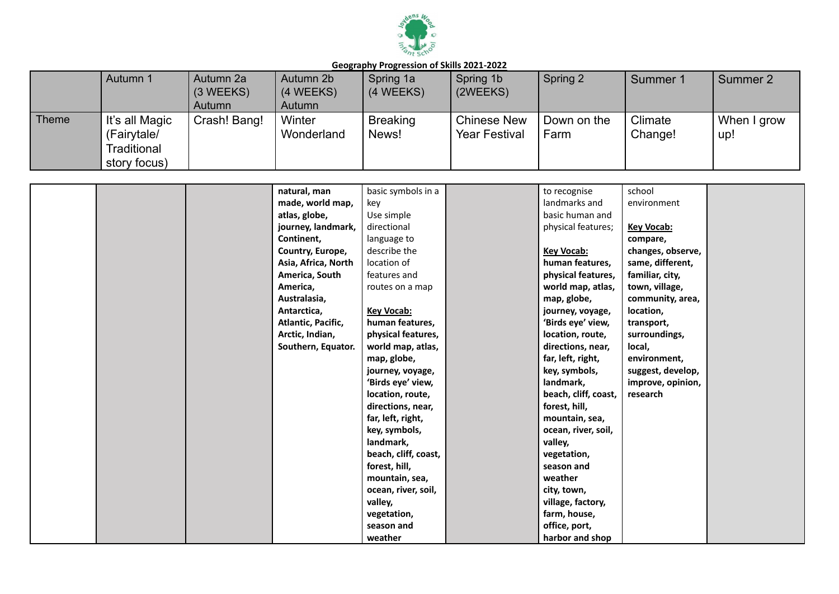

|              | Autumn 1                                                     | Autumn 2a<br>(3 WEEKS)<br>Autumn | Autumn 2b<br>(4 WEEKS)<br>Autumn | Spring 1a<br>(4 WEEKS)   | Spring 1b<br>(2WEEKS)                      | Spring 2            | Summer 1           | Summer 2           |
|--------------|--------------------------------------------------------------|----------------------------------|----------------------------------|--------------------------|--------------------------------------------|---------------------|--------------------|--------------------|
| <b>Theme</b> | It's all Magic<br>(Fairytale/<br>Traditional<br>story focus) | Crash! Bang!                     | Winter<br>Wonderland             | <b>Breaking</b><br>News! | <b>Chinese New</b><br><b>Year Festival</b> | Down on the<br>Farm | Climate<br>Change! | When I grow<br>up! |

|  | natural, man        | basic symbols in a   | to recognise         | school            |  |
|--|---------------------|----------------------|----------------------|-------------------|--|
|  | made, world map,    | key                  | landmarks and        | environment       |  |
|  | atlas, globe,       | Use simple           | basic human and      |                   |  |
|  | journey, landmark,  | directional          | physical features;   | <b>Key Vocab:</b> |  |
|  | Continent,          | language to          |                      | compare,          |  |
|  | Country, Europe,    | describe the         | <b>Key Vocab:</b>    | changes, observe, |  |
|  | Asia, Africa, North | location of          | human features,      | same, different,  |  |
|  | America, South      | features and         | physical features,   | familiar, city,   |  |
|  | America,            | routes on a map      | world map, atlas,    | town, village,    |  |
|  | Australasia,        |                      | map, globe,          | community, area,  |  |
|  | Antarctica,         | Key Vocab:           | journey, voyage,     | location,         |  |
|  | Atlantic, Pacific,  | human features,      | 'Birds eye' view,    | transport,        |  |
|  | Arctic, Indian,     | physical features,   | location, route,     | surroundings,     |  |
|  | Southern, Equator.  | world map, atlas,    | directions, near,    | local,            |  |
|  |                     | map, globe,          | far, left, right,    | environment,      |  |
|  |                     | journey, voyage,     | key, symbols,        | suggest, develop, |  |
|  |                     | 'Birds eye' view,    | landmark,            | improve, opinion, |  |
|  |                     | location, route,     | beach, cliff, coast, | research          |  |
|  |                     | directions, near,    | forest, hill,        |                   |  |
|  |                     | far, left, right,    | mountain, sea,       |                   |  |
|  |                     | key, symbols,        | ocean, river, soil,  |                   |  |
|  |                     | landmark,            | valley,              |                   |  |
|  |                     | beach, cliff, coast, | vegetation,          |                   |  |
|  |                     | forest, hill,        | season and           |                   |  |
|  |                     | mountain, sea,       | weather              |                   |  |
|  |                     | ocean, river, soil,  | city, town,          |                   |  |
|  |                     | valley,              | village, factory,    |                   |  |
|  |                     | vegetation,          | farm, house,         |                   |  |
|  |                     | season and           | office, port,        |                   |  |
|  |                     | weather              | harbor and shop      |                   |  |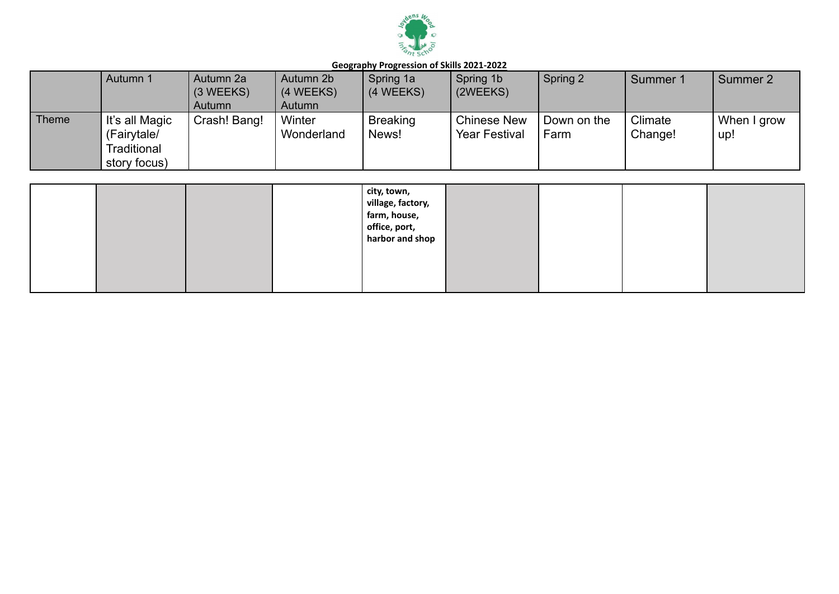

|              | Autumn 1                                                     | Autumn 2a<br>$(3 \, \text{WEEKS})$<br>Autumn | Autumn 2b<br>(4 WEEKS)<br>Autumn | Spring 1a<br>(4 WEEKS)   | Spring 1b<br>(2WEEKS)                            | Spring 2            | Summer 1           | Summer 2           |
|--------------|--------------------------------------------------------------|----------------------------------------------|----------------------------------|--------------------------|--------------------------------------------------|---------------------|--------------------|--------------------|
| <b>Theme</b> | It's all Magic<br>(Fairytale/<br>Traditional<br>story focus) | Crash! Bang!                                 | Winter<br>Wonderland             | <b>Breaking</b><br>News! | <sup>1</sup> Chinese New<br><b>Year Festival</b> | Down on the<br>Farm | Climate<br>Change! | When I grow<br>up! |

|  |  | city, town,<br>village, factory,<br>farm, house,<br>office, port,<br>harbor and shop |  |  |
|--|--|--------------------------------------------------------------------------------------|--|--|
|  |  |                                                                                      |  |  |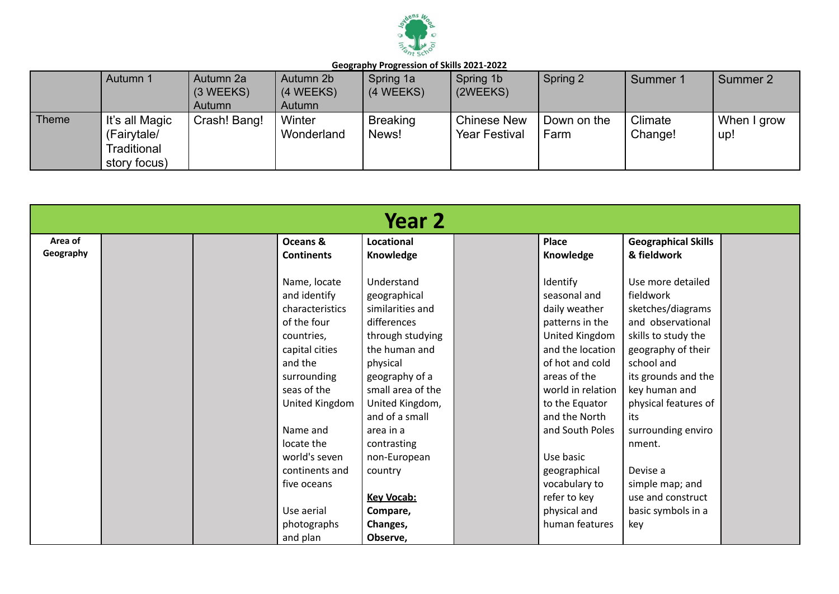

|              | Autumn 1                                                     | Autumn 2a<br>$(3 \, \text{WEEKS})$<br>Autumn | Autumn 2b<br>(4 WEEKS)<br>Autumn | Spring 1a<br>$(4 \, \text{WEEKS})$ | Spring 1b<br>(2WEEKS)                      | Spring 2            | Summer 1           | Summer 2           |
|--------------|--------------------------------------------------------------|----------------------------------------------|----------------------------------|------------------------------------|--------------------------------------------|---------------------|--------------------|--------------------|
| <b>Theme</b> | It's all Magic<br>(Fairytale/<br>Traditional<br>story focus) | Crash! Bang!                                 | Winter<br>Wonderland             | <b>Breaking</b><br>News!           | <b>Chinese New</b><br><b>Year Festival</b> | Down on the<br>Farm | Climate<br>Change! | When I grow<br>up! |

| Year 2               |  |                                                                                                                                                                                                                                                                    |                                                                                                                                                                                                                                                                                                |  |                                                                                                                                                                                                                                                                                                                  |                                                                                                                                                                                                                                                                                                                             |  |  |  |
|----------------------|--|--------------------------------------------------------------------------------------------------------------------------------------------------------------------------------------------------------------------------------------------------------------------|------------------------------------------------------------------------------------------------------------------------------------------------------------------------------------------------------------------------------------------------------------------------------------------------|--|------------------------------------------------------------------------------------------------------------------------------------------------------------------------------------------------------------------------------------------------------------------------------------------------------------------|-----------------------------------------------------------------------------------------------------------------------------------------------------------------------------------------------------------------------------------------------------------------------------------------------------------------------------|--|--|--|
| Area of<br>Geography |  | Oceans &<br><b>Continents</b>                                                                                                                                                                                                                                      | Locational<br>Knowledge                                                                                                                                                                                                                                                                        |  | Place<br>Knowledge                                                                                                                                                                                                                                                                                               | <b>Geographical Skills</b><br>& fieldwork                                                                                                                                                                                                                                                                                   |  |  |  |
|                      |  | Name, locate<br>and identify<br>characteristics<br>of the four<br>countries,<br>capital cities<br>and the<br>surrounding<br>seas of the<br>United Kingdom<br>Name and<br>locate the<br>world's seven<br>continents and<br>five oceans<br>Use aerial<br>photographs | Understand<br>geographical<br>similarities and<br>differences<br>through studying<br>the human and<br>physical<br>geography of a<br>small area of the<br>United Kingdom,<br>and of a small<br>area in a<br>contrasting<br>non-European<br>country<br><b>Key Vocab:</b><br>Compare,<br>Changes, |  | Identify<br>seasonal and<br>daily weather<br>patterns in the<br>United Kingdom<br>and the location<br>of hot and cold<br>areas of the<br>world in relation<br>to the Equator<br>and the North<br>and South Poles<br>Use basic<br>geographical<br>vocabulary to<br>refer to key<br>physical and<br>human features | Use more detailed<br>fieldwork<br>sketches/diagrams<br>and observational<br>skills to study the<br>geography of their<br>school and<br>its grounds and the<br>key human and<br>physical features of<br>its<br>surrounding enviro<br>nment.<br>Devise a<br>simple map; and<br>use and construct<br>basic symbols in a<br>key |  |  |  |
|                      |  | and plan                                                                                                                                                                                                                                                           | Observe,                                                                                                                                                                                                                                                                                       |  |                                                                                                                                                                                                                                                                                                                  |                                                                                                                                                                                                                                                                                                                             |  |  |  |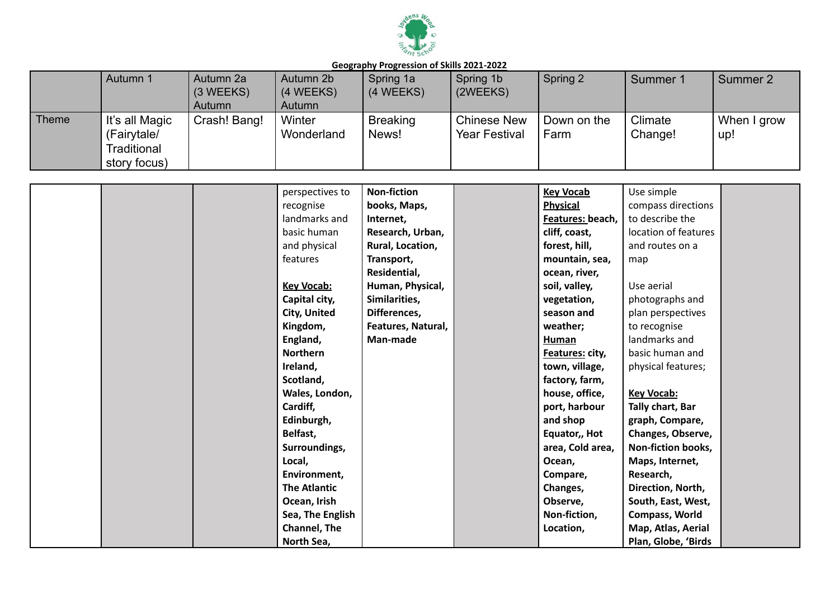

|              | Autumn 1                                                     | Autumn 2a<br>$(3 \, \text{WEEKS})$<br>Autumn | Autumn 2b<br>(4 WEEKS)<br>Autumn | Spring 1a<br>(4 WEEKS)   | Spring 1b<br>(2WEEKS)                      | Spring 2            | Summer 1           | Summer 2           |
|--------------|--------------------------------------------------------------|----------------------------------------------|----------------------------------|--------------------------|--------------------------------------------|---------------------|--------------------|--------------------|
| <b>Theme</b> | It's all Magic<br>(Fairytale/<br>Traditional<br>story focus) | Crash! Bang!                                 | Winter<br>Wonderland             | <b>Breaking</b><br>News! | <b>Chinese New</b><br><b>Year Festival</b> | Down on the<br>Farm | Climate<br>Change! | When I grow<br>up! |

|  | perspectives to     | <b>Non-fiction</b> | <b>Key Vocab</b> | Use simple           |  |
|--|---------------------|--------------------|------------------|----------------------|--|
|  | recognise           | books, Maps,       | <b>Physical</b>  | compass directions   |  |
|  | landmarks and       | Internet,          | Features: beach, | to describe the      |  |
|  | basic human         | Research, Urban,   | cliff, coast,    | location of features |  |
|  | and physical        | Rural, Location,   | forest, hill,    | and routes on a      |  |
|  | features            | Transport,         | mountain, sea,   | map                  |  |
|  |                     | Residential,       | ocean, river,    |                      |  |
|  | <b>Key Vocab:</b>   | Human, Physical,   | soil, valley,    | Use aerial           |  |
|  | Capital city,       | Similarities,      | vegetation,      | photographs and      |  |
|  | City, United        | Differences,       | season and       | plan perspectives    |  |
|  | Kingdom,            | Features, Natural, | weather;         | to recognise         |  |
|  | England,            | Man-made           | <b>Human</b>     | landmarks and        |  |
|  | <b>Northern</b>     |                    | Features: city,  | basic human and      |  |
|  | Ireland,            |                    | town, village,   | physical features;   |  |
|  | Scotland,           |                    | factory, farm,   |                      |  |
|  | Wales, London,      |                    | house, office,   | <b>Key Vocab:</b>    |  |
|  | Cardiff,            |                    | port, harbour    | Tally chart, Bar     |  |
|  | Edinburgh,          |                    | and shop         | graph, Compare,      |  |
|  | Belfast,            |                    | Equator,, Hot    | Changes, Observe,    |  |
|  | Surroundings,       |                    | area, Cold area, | Non-fiction books,   |  |
|  | Local,              |                    | Ocean,           | Maps, Internet,      |  |
|  | Environment,        |                    | Compare,         | Research,            |  |
|  | <b>The Atlantic</b> |                    | Changes,         | Direction, North,    |  |
|  | Ocean, Irish        |                    | Observe,         | South, East, West,   |  |
|  | Sea, The English    |                    | Non-fiction,     | Compass, World       |  |
|  | <b>Channel, The</b> |                    | Location,        | Map, Atlas, Aerial   |  |
|  | North Sea,          |                    |                  | Plan, Globe, 'Birds  |  |